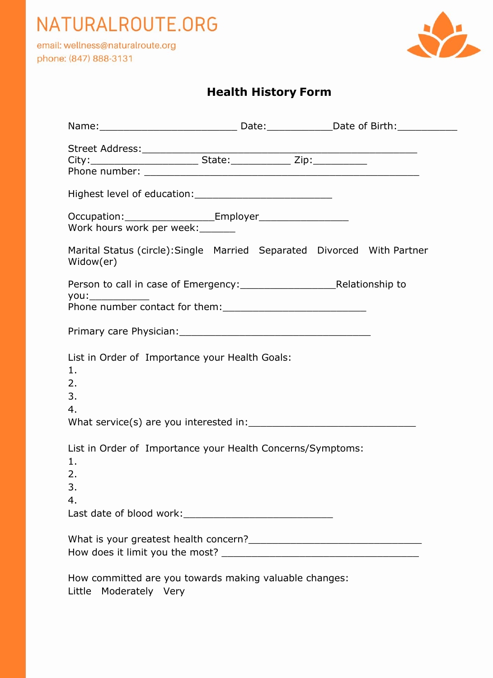

email: wellness@naturalroute.org phone: (847) 888-3131



### **Health History Form**

| Work hours work per week:                                                            |  |  |  |  |  |
|--------------------------------------------------------------------------------------|--|--|--|--|--|
| Marital Status (circle): Single Married Separated Divorced With Partner<br>Widow(er) |  |  |  |  |  |
|                                                                                      |  |  |  |  |  |
|                                                                                      |  |  |  |  |  |
| List in Order of Importance your Health Goals:<br>1.<br>2.<br>3.<br>4.               |  |  |  |  |  |
| List in Order of Importance your Health Concerns/Symptoms:<br>1.<br>2.<br>3.<br>4.   |  |  |  |  |  |
|                                                                                      |  |  |  |  |  |
| How committed are you towards making valuable changes:<br>Little Moderately Very     |  |  |  |  |  |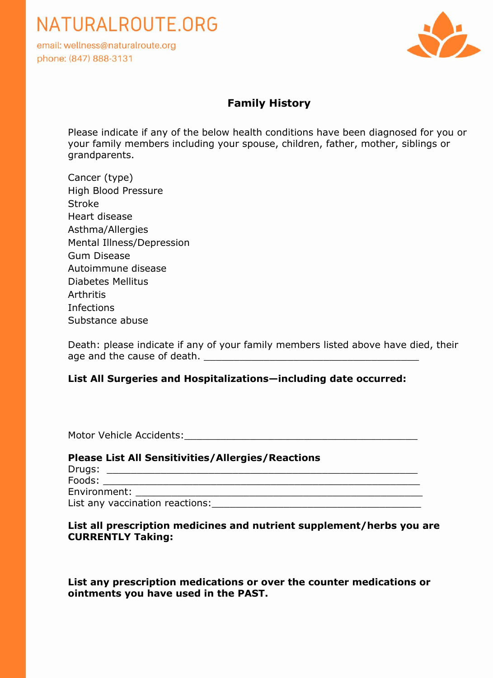email: wellness@naturalroute.org phone: (847) 888-3131



#### **Family History**

Please indicate if any of the below health conditions have been diagnosed for you or your family members including your spouse, children, father, mother, siblings or grandparents.

| Cancer (type)             |
|---------------------------|
| High Blood Pressure       |
| <b>Stroke</b>             |
| Heart disease             |
| Asthma/Allergies          |
| Mental Illness/Depression |
| Gum Disease               |
| Autoimmune disease        |
| <b>Diabetes Mellitus</b>  |
| <b>Arthritis</b>          |
| Infections                |
| Substance abuse           |

Death: please indicate if any of your family members listed above have died, their age and the cause of death.  $\Box$ 

#### **List All Surgeries and Hospitalizations—including date occurred:**

Motor Vehicle Accidents:

| <b>Please List All Sensitivities/Allergies/Reactions</b> |  |  |  |
|----------------------------------------------------------|--|--|--|
|                                                          |  |  |  |
| Foods:                                                   |  |  |  |
| Environment: Environment:                                |  |  |  |
| List any vaccination reactions:                          |  |  |  |

#### **List all prescription medicines and nutrient supplement/herbs you are CURRENTLY Taking:**

**List any prescription medications or over the counter medications or ointments you have used in the PAST.**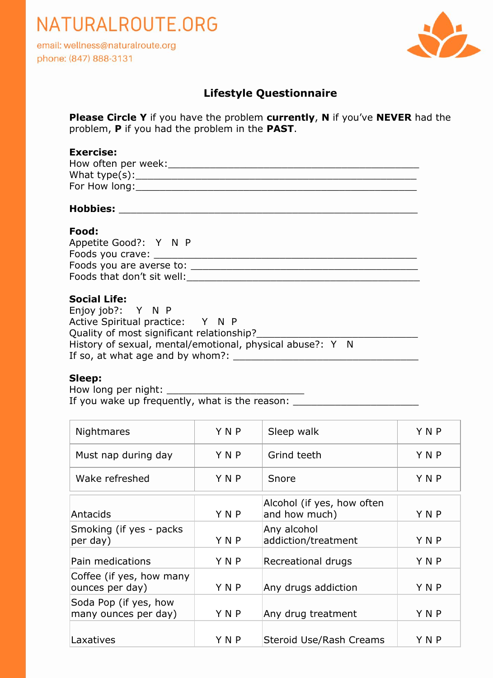email: wellness@naturalroute.org phone: (847) 888-3131



#### **Lifestyle Questionnaire**

**Please Circle Y** if you have the problem **currently**, **N** if you've **NEVER** had the problem, **P** if you had the problem in the **PAST**.

#### **Exercise:**

| How often per week: |  |
|---------------------|--|
| What type $(s)$ :   |  |
| For How long:       |  |

#### **Hobbies:** \_\_\_\_\_\_\_\_\_\_\_\_\_\_\_\_\_\_\_\_\_\_\_\_\_\_\_\_\_\_\_\_\_\_\_\_\_\_\_\_\_\_\_\_\_\_\_\_\_\_

#### **Food:**

| Appetite Good?: Y N P      |  |
|----------------------------|--|
| Foods you crave:           |  |
| Foods you are averse to:   |  |
| Foods that don't sit well: |  |
|                            |  |

#### **Social Life:**

Enjoy job?: Y N P Active Spiritual practice: Y N P Quality of most significant relationship?\_\_\_\_\_\_\_\_\_\_\_\_\_\_\_\_\_\_\_\_\_\_\_\_\_\_\_ History of sexual, mental/emotional, physical abuse?: Y N If so, at what age and by whom?: \_\_\_\_\_\_\_\_\_\_\_\_\_\_\_\_\_\_\_\_\_\_\_\_\_\_\_\_\_\_\_

#### **Sleep:**

How long per night: \_\_\_\_\_\_\_\_\_\_\_\_\_\_\_\_\_\_\_\_\_\_\_ If you wake up frequently, what is the reason: \_\_\_\_\_\_\_\_\_\_\_\_\_\_\_\_\_\_\_\_\_\_\_\_\_\_\_\_\_\_\_\_\_

| Nightmares                                    | YNP   | Sleep walk                                  | YNP |
|-----------------------------------------------|-------|---------------------------------------------|-----|
| Must nap during day                           | Y N P | Grind teeth                                 | YNP |
| Wake refreshed                                | YNP   | Snore                                       | YNP |
| Antacids                                      | YNP   | Alcohol (if yes, how often<br>and how much) | YNP |
| Smoking (if yes - packs<br>per day)           | YNP   | Any alcohol<br>addiction/treatment          | YNP |
| Pain medications                              | YNP   | Recreational drugs                          | YNP |
| Coffee (if yes, how many<br>ounces per day)   | YNP   | Any drugs addiction                         | YNP |
| Soda Pop (if yes, how<br>many ounces per day) | YNP   | Any drug treatment                          | YNP |
| Laxatives                                     | YNP   | Steroid Use/Rash Creams                     | YNP |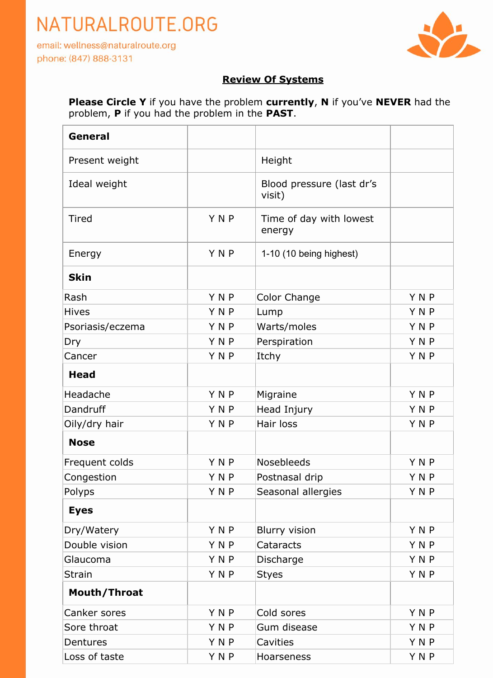email: wellness@naturalroute.org phone: (847) 888-3131



#### **Review Of Systems**

**Please Circle Y** if you have the problem **currently**, **N** if you've **NEVER** had the problem, **P** if you had the problem in the **PAST**.

| General          |            |                                     |            |
|------------------|------------|-------------------------------------|------------|
| Present weight   |            | Height                              |            |
| Ideal weight     |            | Blood pressure (last dr's<br>visit) |            |
| <b>Tired</b>     | <b>YNP</b> | Time of day with lowest<br>energy   |            |
| Energy           | YNP        | 1-10 (10 being highest)             |            |
| <b>Skin</b>      |            |                                     |            |
| Rash             | <b>YNP</b> | Color Change                        | YNP        |
| <b>Hives</b>     | YNP        | Lump                                | YNP        |
| Psoriasis/eczema | <b>YNP</b> | Warts/moles                         | <b>YNP</b> |
| Dry              | <b>YNP</b> | Perspiration                        | <b>YNP</b> |
| Cancer           | <b>YNP</b> | Itchy                               | <b>YNP</b> |
| <b>Head</b>      |            |                                     |            |
| Headache         | <b>YNP</b> | Migraine                            | YNP        |
| Dandruff         | <b>YNP</b> | Head Injury                         | <b>YNP</b> |
| Oily/dry hair    | YNP        | Hair loss                           | YNP        |
| <b>Nose</b>      |            |                                     |            |
| Frequent colds   | <b>YNP</b> | Nosebleeds                          | <b>YNP</b> |
| Congestion       | YNP        | Postnasal drip                      | YNP        |
| Polyps           | Y N P      | Seasonal allergies                  | YNP        |
| <b>Eyes</b>      |            |                                     |            |
| Dry/Watery       | YNP        | <b>Blurry vision</b>                | YNP        |
| Double vision    | <b>YNP</b> | Cataracts                           | YNP        |
| Glaucoma         | YNP        | Discharge                           | <b>YNP</b> |
| <b>Strain</b>    | YNP        | <b>Styes</b>                        | YNP        |
| Mouth/Throat     |            |                                     |            |
| Canker sores     | <b>YNP</b> | Cold sores                          | YNP        |
| Sore throat      | <b>YNP</b> | Gum disease                         | YNP        |
| Dentures         | <b>YNP</b> | Cavities                            | YNP        |
| Loss of taste    | YNP        | Hoarseness                          | YNP        |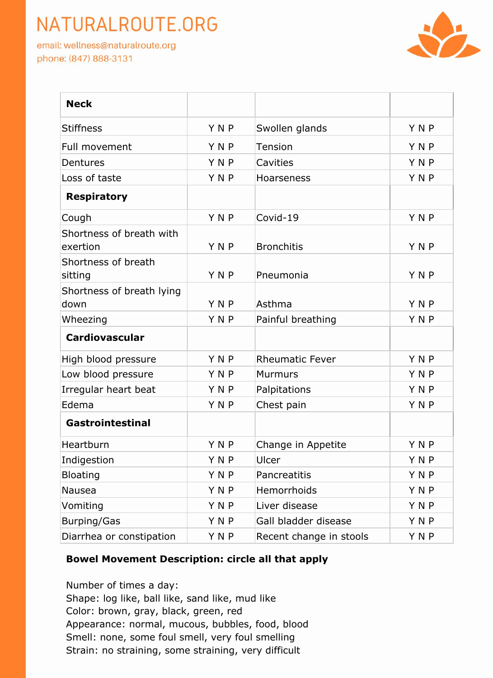email: wellness@naturalroute.org phone: (847) 888-3131



| <b>Neck</b>                          |            |                         |            |
|--------------------------------------|------------|-------------------------|------------|
| <b>Stiffness</b>                     | YNP        | Swollen glands          | YNP        |
| Full movement                        | <b>YNP</b> | <b>Tension</b>          | YNP        |
| Dentures                             | <b>YNP</b> | Cavities                | YNP        |
| Loss of taste                        | YNP        | Hoarseness              | <b>YNP</b> |
| <b>Respiratory</b>                   |            |                         |            |
| Cough                                | YNP        | Covid-19                | YNP        |
| Shortness of breath with<br>exertion | <b>YNP</b> | <b>Bronchitis</b>       | YNP        |
| Shortness of breath<br>sitting       | YNP        | Pneumonia               | YNP        |
| Shortness of breath lying<br>down    | YNP        | Asthma                  | YNP        |
| Wheezing                             | YNP        | Painful breathing       | YNP        |
| <b>Cardiovascular</b>                |            |                         |            |
| High blood pressure                  | <b>YNP</b> | <b>Rheumatic Fever</b>  | YNP        |
| Low blood pressure                   | YNP        | <b>Murmurs</b>          | YNP        |
| Irregular heart beat                 | YNP        | Palpitations            | YNP        |
| Edema                                | <b>YNP</b> | Chest pain              | YNP        |
| Gastrointestinal                     |            |                         |            |
| Heartburn                            | <b>YNP</b> | Change in Appetite      | YNP        |
| Indigestion                          | YNP        | Ulcer                   | YNP        |
| <b>Bloating</b>                      | Y N P      | Pancreatitis            | Y N P      |
| Nausea                               | YNP        | Hemorrhoids             | YNP        |
| Vomiting                             | YNP        | Liver disease           | YNP        |
| <b>Burping/Gas</b>                   | YNP        | Gall bladder disease    | YNP        |
| Diarrhea or constipation             | YNP        | Recent change in stools | YNP        |

#### **Bowel Movement Description: circle all that apply**

Number of times a day: Shape: log like, ball like, sand like, mud like Color: brown, gray, black, green, red Appearance: normal, mucous, bubbles, food, blood Smell: none, some foul smell, very foul smelling Strain: no straining, some straining, very difficult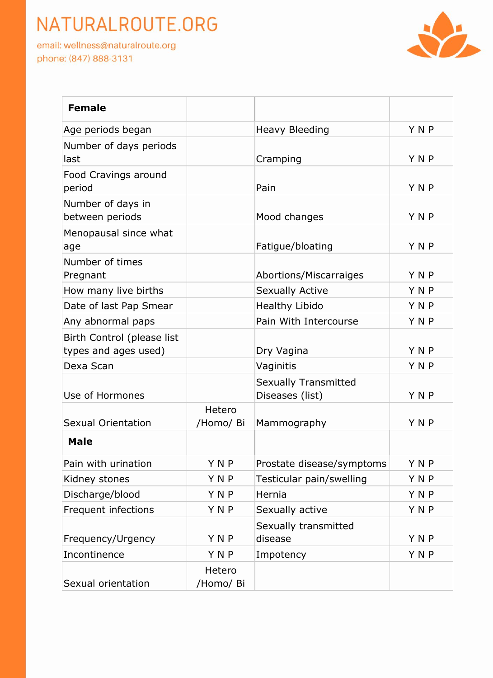email: wellness@naturalroute.org phone: (847) 888-3131



| <b>Female</b>                                      |                     |                                                |            |
|----------------------------------------------------|---------------------|------------------------------------------------|------------|
| Age periods began                                  |                     | <b>Heavy Bleeding</b>                          | YNP        |
| Number of days periods<br>last                     |                     | Cramping                                       | YNP        |
| Food Cravings around<br>period                     |                     | Pain                                           | <b>YNP</b> |
| Number of days in<br>between periods               |                     | Mood changes                                   | <b>YNP</b> |
| Menopausal since what<br>age                       |                     | Fatigue/bloating                               | YNP        |
| Number of times<br>Pregnant                        |                     | Abortions/Miscarraiges                         | YNP        |
| How many live births                               |                     | <b>Sexually Active</b>                         | <b>YNP</b> |
| Date of last Pap Smear                             |                     | <b>Healthy Libido</b>                          | <b>YNP</b> |
| Any abnormal paps                                  |                     | Pain With Intercourse                          | YNP        |
| Birth Control (please list<br>types and ages used) |                     | Dry Vagina                                     | <b>YNP</b> |
| Dexa Scan                                          |                     | Vaginitis                                      | <b>YNP</b> |
| Use of Hormones                                    |                     | <b>Sexually Transmitted</b><br>Diseases (list) | <b>YNP</b> |
| <b>Sexual Orientation</b>                          | Hetero<br>/Homo/ Bi | Mammography                                    | YNP        |
| <b>Male</b>                                        |                     |                                                |            |
| Pain with urination                                | <b>YNP</b>          | Prostate disease/symptoms                      | YNP        |
| Kidney stones                                      | Y N P               | Testicular pain/swelling                       | Y N P      |
| Discharge/blood                                    | YNP                 | Hernia                                         | YNP        |
| Frequent infections                                | YNP                 | Sexually active                                | YNP        |
| Frequency/Urgency                                  | YNP                 | Sexually transmitted<br>disease                | YNP        |
| Incontinence                                       | YNP                 | Impotency                                      | YNP        |
| Sexual orientation                                 | Hetero<br>/Homo/ Bi |                                                |            |